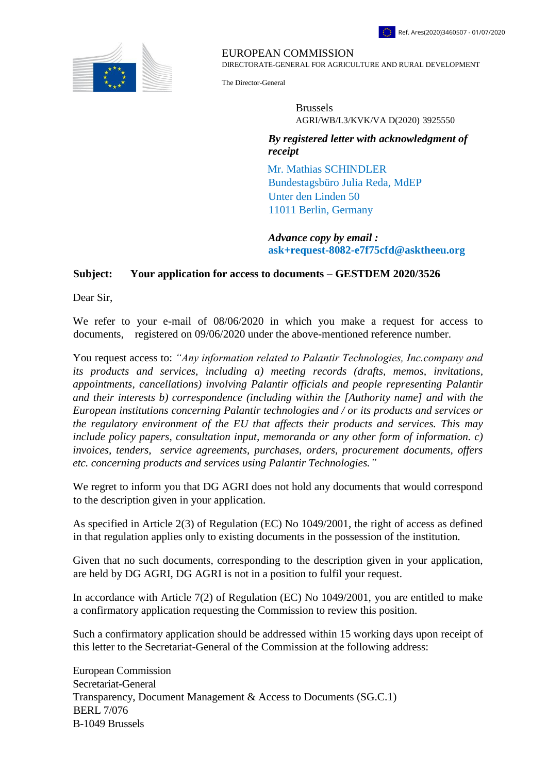

EUROPEAN COMMISSION

DIRECTORATE-GENERAL FOR AGRICULTURE AND RURAL DEVELOPMENT

The Director-General

 Brussels AGRI/WB/I.3/KVK/VA D(2020[\)](https://webgate.ec.testa.eu/Ares/document/show.do?documentId=080166e5d0be0470×tamp=1593007057776) 3925550

*By registered letter with acknowledgment of receipt* 

Mr. Mathias SCHINDLER Bundestagsbüro Julia Reda, MdEP Unter den Linden 50 11011 Berlin, Germany

*Advance copy by email :* **ask+request-8082-e7f75cfd@asktheeu.org**

## **Subject: Your application for access to documents – GESTDEM 2020/3526**

Dear Sir,

We refer to your e-mail of 08/06/2020 in which you make a request for access to documents, registered on 09/06/2020 under the above-mentioned reference number.

You request access to: *"Any information related to Palantir Technologies, Inc.company and its products and services, including a) meeting records (drafts, memos, invitations, appointments, cancellations) involving Palantir officials and people representing Palantir and their interests b) correspondence (including within the [Authority name] and with the European institutions concerning Palantir technologies and / or its products and services or the regulatory environment of the EU that affects their products and services. This may include policy papers, consultation input, memoranda or any other form of information. c) invoices, tenders, service agreements, purchases, orders, procurement documents, offers etc. concerning products and services using Palantir Technologies."*

We regret to inform you that DG AGRI does not hold any documents that would correspond to the description given in your application.

As specified in Article 2(3) of Regulation (EC) No 1049/2001, the right of access as defined in that regulation applies only to existing documents in the possession of the institution.

Given that no such documents, corresponding to the description given in your application, are held by DG AGRI, DG AGRI is not in a position to fulfil your request.

In accordance with Article 7(2) of Regulation (EC) No 1049/2001, you are entitled to make a confirmatory application requesting the Commission to review this position.

Such a confirmatory application should be addressed within 15 working days upon receipt of this letter to the Secretariat-General of the Commission at the following address:

European Commission Secretariat-General Transparency, Document Management & Access to Documents (SG.C.1) BERL 7/076 B-1049 Brussels